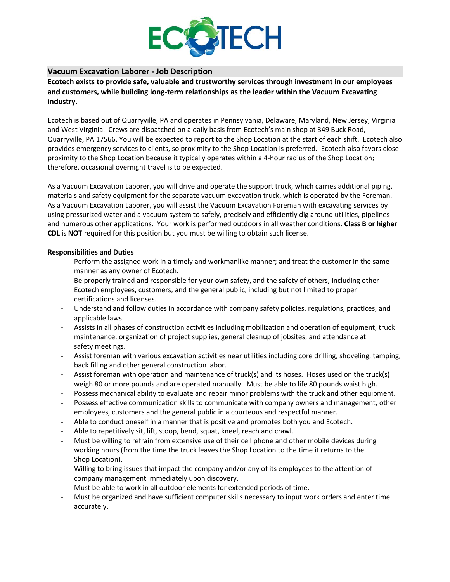

## **Vacuum Excavation Laborer - Job Description**

**Ecotech exists to provide safe, valuable and trustworthy services through investment in our employees and customers, while building long-term relationships as the leader within the Vacuum Excavating industry.** 

Ecotech is based out of Quarryville, PA and operates in Pennsylvania, Delaware, Maryland, New Jersey, Virginia and West Virginia. Crews are dispatched on a daily basis from Ecotech's main shop at 349 Buck Road, Quarryville, PA 17566. You will be expected to report to the Shop Location at the start of each shift. Ecotech also provides emergency services to clients, so proximity to the Shop Location is preferred. Ecotech also favors close proximity to the Shop Location because it typically operates within a 4-hour radius of the Shop Location; therefore, occasional overnight travel is to be expected.

As a Vacuum Excavation Laborer, you will drive and operate the support truck, which carries additional piping, materials and safety equipment for the separate vacuum excavation truck, which is operated by the Foreman. As a Vacuum Excavation Laborer, you will assist the Vacuum Excavation Foreman with excavating services by using pressurized water and a vacuum system to safely, precisely and efficiently dig around utilities, pipelines and numerous other applications. Your work is performed outdoors in all weather conditions. **Class B or higher CDL** is **NOT** required for this position but you must be willing to obtain such license.

## **Responsibilities and Duties**

- Perform the assigned work in a timely and workmanlike manner; and treat the customer in the same manner as any owner of Ecotech.
- Be properly trained and responsible for your own safety, and the safety of others, including other Ecotech employees, customers, and the general public, including but not limited to proper certifications and licenses.
- Understand and follow duties in accordance with company safety policies, regulations, practices, and applicable laws.
- Assists in all phases of construction activities including mobilization and operation of equipment, truck maintenance, organization of project supplies, general cleanup of jobsites, and attendance at safety meetings.
- Assist foreman with various excavation activities near utilities including core drilling, shoveling, tamping, back filling and other general construction labor.
- Assist foreman with operation and maintenance of truck(s) and its hoses. Hoses used on the truck(s) weigh 80 or more pounds and are operated manually. Must be able to life 80 pounds waist high.
- Possess mechanical ability to evaluate and repair minor problems with the truck and other equipment.
- Possess effective communication skills to communicate with company owners and management, other employees, customers and the general public in a courteous and respectful manner.
- Able to conduct oneself in a manner that is positive and promotes both you and Ecotech.
- Able to repetitively sit, lift, stoop, bend, squat, kneel, reach and crawl.
- Must be willing to refrain from extensive use of their cell phone and other mobile devices during working hours (from the time the truck leaves the Shop Location to the time it returns to the Shop Location).
- Willing to bring issues that impact the company and/or any of its employees to the attention of company management immediately upon discovery.
- Must be able to work in all outdoor elements for extended periods of time.
- Must be organized and have sufficient computer skills necessary to input work orders and enter time accurately.